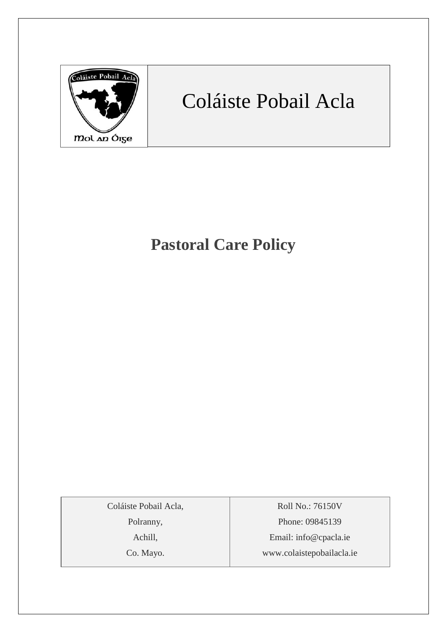

# Coláiste Pobail Acla

## **Pastoral Care Policy**

Coláiste Pobail Acla,

Polranny,

Achill,

Co. Mayo.

Roll No.: 76150V Phone: 09845139 Email: [info@cpacla.ie](mailto:info@cpacla.ie) www.colaistepobailacla.ie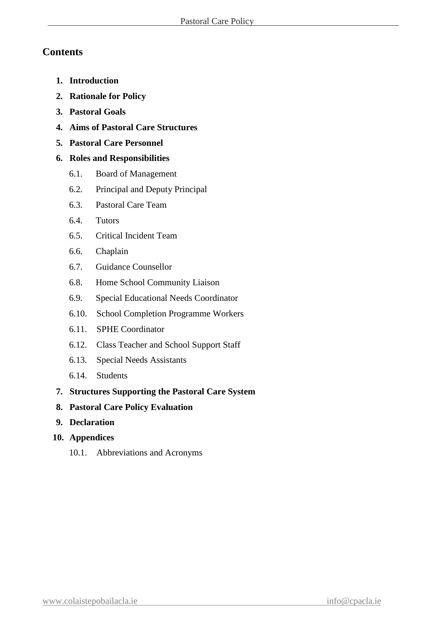## **Contents**

- **1. Introduction**
- **2. Rationale for Policy**
- **3. Pastoral Goals**
- **4. Aims of Pastoral Care Structures**
- **5. Pastoral Care Personnel**

### **6. Roles and Responsibilities**

- 6.1. Board of Management
- 6.2. Principal and Deputy Principal
- 6.3. Pastoral Care Team
- 6.4. Tutors
- 6.5. Critical Incident Team
- 6.6. Chaplain
- 6.7. Guidance Counsellor
- 6.8. Home School Community Liaison
- 6.9. Special Educational Needs Coordinator
- 6.10. School Completion Programme Workers
- 6.11. SPHE Coordinator
- 6.12. Class Teacher and School Support Staff
- 6.13. Special Needs Assistants
- 6.14. Students
- **7. Structures Supporting the Pastoral Care System**
- **8. Pastoral Care Policy Evaluation**
- **9. Declaration**
- **10. Appendices**
	- 10.1. Abbreviations and Acronyms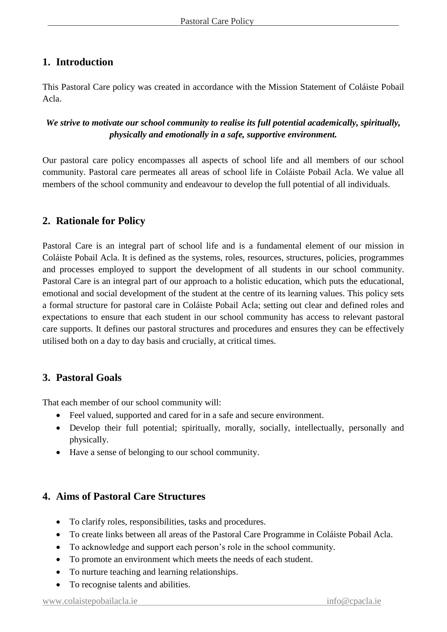## **1. Introduction**

This Pastoral Care policy was created in accordance with the Mission Statement of Coláiste Pobail Acla.

## *We strive to motivate our school community to realise its full potential academically, spiritually, physically and emotionally in a safe, supportive environment.*

Our pastoral care policy encompasses all aspects of school life and all members of our school community. Pastoral care permeates all areas of school life in Coláiste Pobail Acla. We value all members of the school community and endeavour to develop the full potential of all individuals.

## **2. Rationale for Policy**

Pastoral Care is an integral part of school life and is a fundamental element of our mission in Coláiste Pobail Acla. It is defined as the systems, roles, resources, structures, policies, programmes and processes employed to support the development of all students in our school community. Pastoral Care is an integral part of our approach to a holistic education, which puts the educational, emotional and social development of the student at the centre of its learning values. This policy sets a formal structure for pastoral care in Coláiste Pobail Acla; setting out clear and defined roles and expectations to ensure that each student in our school community has access to relevant pastoral care supports. It defines our pastoral structures and procedures and ensures they can be effectively utilised both on a day to day basis and crucially, at critical times.

## **3. Pastoral Goals**

That each member of our school community will:

- Feel valued, supported and cared for in a safe and secure environment.
- Develop their full potential; spiritually, morally, socially, intellectually, personally and physically.
- Have a sense of belonging to our school community.

## **4. Aims of Pastoral Care Structures**

- To clarify roles, responsibilities, tasks and procedures.
- To create links between all areas of the Pastoral Care Programme in Coláiste Pobail Acla.
- To acknowledge and support each person's role in the school community.
- To promote an environment which meets the needs of each student.
- To nurture teaching and learning relationships.
- To recognise talents and abilities.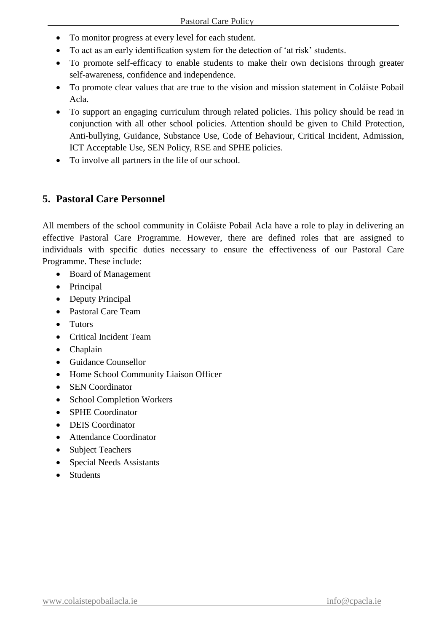- To monitor progress at every level for each student.
- To act as an early identification system for the detection of 'at risk' students.
- To promote self-efficacy to enable students to make their own decisions through greater self-awareness, confidence and independence.
- To promote clear values that are true to the vision and mission statement in Coláiste Pobail Acla.
- To support an engaging curriculum through related policies. This policy should be read in conjunction with all other school policies. Attention should be given to Child Protection, Anti-bullying, Guidance, Substance Use, Code of Behaviour, Critical Incident, Admission, ICT Acceptable Use, SEN Policy, RSE and SPHE policies.
- To involve all partners in the life of our school.

## **5. Pastoral Care Personnel**

All members of the school community in Coláiste Pobail Acla have a role to play in delivering an effective Pastoral Care Programme. However, there are defined roles that are assigned to individuals with specific duties necessary to ensure the effectiveness of our Pastoral Care Programme. These include:

- Board of Management
- Principal
- Deputy Principal
- Pastoral Care Team
- Tutors
- Critical Incident Team
- Chaplain
- Guidance Counsellor
- Home School Community Liaison Officer
- SEN Coordinator
- School Completion Workers
- SPHE Coordinator
- DEIS Coordinator
- Attendance Coordinator
- Subject Teachers
- Special Needs Assistants
- Students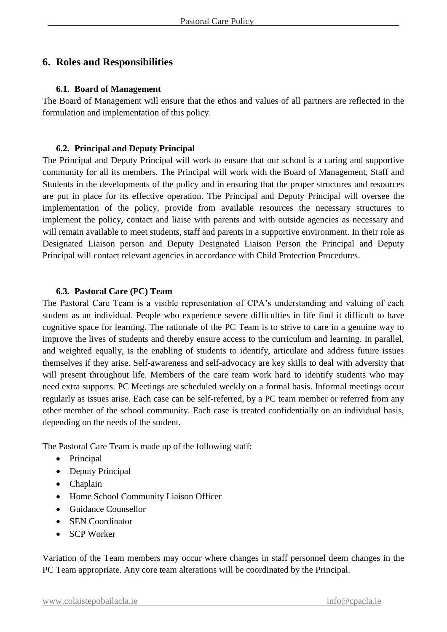## **6. Roles and Responsibilities**

#### **6.1. Board of Management**

The Board of Management will ensure that the ethos and values of all partners are reflected in the formulation and implementation of this policy.

#### **6.2. Principal and Deputy Principal**

The Principal and Deputy Principal will work to ensure that our school is a caring and supportive community for all its members. The Principal will work with the Board of Management, Staff and Students in the developments of the policy and in ensuring that the proper structures and resources are put in place for its effective operation. The Principal and Deputy Principal will oversee the implementation of the policy, provide from available resources the necessary structures to implement the policy, contact and liaise with parents and with outside agencies as necessary and will remain available to meet students, staff and parents in a supportive environment. In their role as Designated Liaison person and Deputy Designated Liaison Person the Principal and Deputy Principal will contact relevant agencies in accordance with Child Protection Procedures.

#### **6.3. Pastoral Care (PC) Team**

The Pastoral Care Team is a visible representation of CPA's understanding and valuing of each student as an individual. People who experience severe difficulties in life find it difficult to have cognitive space for learning. The rationale of the PC Team is to strive to care in a genuine way to improve the lives of students and thereby ensure access to the curriculum and learning. In parallel, and weighted equally, is the enabling of students to identify, articulate and address future issues themselves if they arise. Self-awareness and self-advocacy are key skills to deal with adversity that will present throughout life. Members of the care team work hard to identify students who may need extra supports. PC Meetings are scheduled weekly on a formal basis. Informal meetings occur regularly as issues arise. Each case can be self-referred, by a PC team member or referred from any other member of the school community. Each case is treated confidentially on an individual basis, depending on the needs of the student.

The Pastoral Care Team is made up of the following staff:

- Principal
- Deputy Principal
- Chaplain
- Home School Community Liaison Officer
- Guidance Counsellor
- SEN Coordinator
- SCP Worker

Variation of the Team members may occur where changes in staff personnel deem changes in the PC Team appropriate. Any core team alterations will be coordinated by the Principal.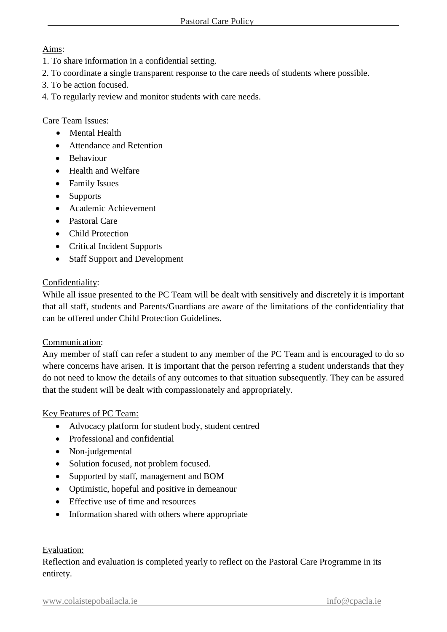#### Aims:

- 1. To share information in a confidential setting.
- 2. To coordinate a single transparent response to the care needs of students where possible.
- 3. To be action focused.
- 4. To regularly review and monitor students with care needs.

#### Care Team Issues:

- Mental Health
- Attendance and Retention
- **•** Behaviour
- Health and Welfare
- Family Issues
- Supports
- Academic Achievement
- Pastoral Care
- Child Protection
- Critical Incident Supports
- Staff Support and Development

#### Confidentiality:

While all issue presented to the PC Team will be dealt with sensitively and discretely it is important that all staff, students and Parents/Guardians are aware of the limitations of the confidentiality that can be offered under Child Protection Guidelines.

#### Communication:

Any member of staff can refer a student to any member of the PC Team and is encouraged to do so where concerns have arisen. It is important that the person referring a student understands that they do not need to know the details of any outcomes to that situation subsequently. They can be assured that the student will be dealt with compassionately and appropriately.

#### Key Features of PC Team:

- Advocacy platform for student body, student centred
- Professional and confidential
- Non-judgemental
- Solution focused, not problem focused.
- Supported by staff, management and BOM
- Optimistic, hopeful and positive in demeanour
- Effective use of time and resources
- Information shared with others where appropriate

#### Evaluation:

Reflection and evaluation is completed yearly to reflect on the Pastoral Care Programme in its entirety.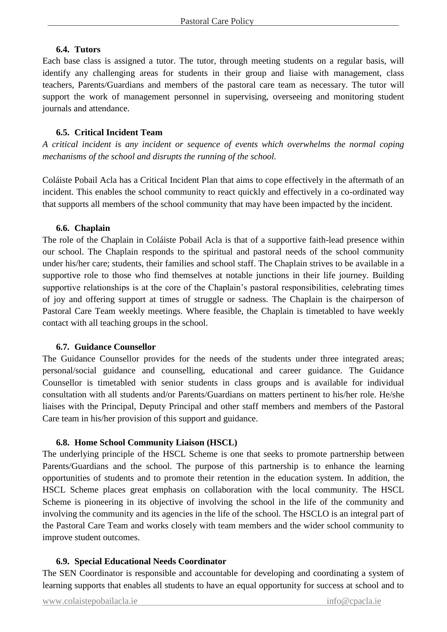#### **6.4. Tutors**

Each base class is assigned a tutor. The tutor, through meeting students on a regular basis, will identify any challenging areas for students in their group and liaise with management, class teachers, Parents/Guardians and members of the pastoral care team as necessary. The tutor will support the work of management personnel in supervising, overseeing and monitoring student journals and attendance.

#### **6.5. Critical Incident Team**

*A critical incident is any incident or sequence of events which overwhelms the normal coping mechanisms of the school and disrupts the running of the school.*

Coláiste Pobail Acla has a Critical Incident Plan that aims to cope effectively in the aftermath of an incident. This enables the school community to react quickly and effectively in a co-ordinated way that supports all members of the school community that may have been impacted by the incident.

#### **6.6. Chaplain**

The role of the Chaplain in Coláiste Pobail Acla is that of a supportive faith-lead presence within our school. The Chaplain responds to the spiritual and pastoral needs of the school community under his/her care; students, their families and school staff. The Chaplain strives to be available in a supportive role to those who find themselves at notable junctions in their life journey. Building supportive relationships is at the core of the Chaplain's pastoral responsibilities, celebrating times of joy and offering support at times of struggle or sadness. The Chaplain is the chairperson of Pastoral Care Team weekly meetings. Where feasible, the Chaplain is timetabled to have weekly contact with all teaching groups in the school.

#### **6.7. Guidance Counsellor**

The Guidance Counsellor provides for the needs of the students under three integrated areas; personal/social guidance and counselling, educational and career guidance. The Guidance Counsellor is timetabled with senior students in class groups and is available for individual consultation with all students and/or Parents/Guardians on matters pertinent to his/her role. He/she liaises with the Principal, Deputy Principal and other staff members and members of the Pastoral Care team in his/her provision of this support and guidance.

#### **6.8. Home School Community Liaison (HSCL)**

The underlying principle of the HSCL Scheme is one that seeks to promote partnership between Parents/Guardians and the school. The purpose of this partnership is to enhance the learning opportunities of students and to promote their retention in the education system. In addition, the HSCL Scheme places great emphasis on collaboration with the local community. The HSCL Scheme is pioneering in its objective of involving the school in the life of the community and involving the community and its agencies in the life of the school. The HSCLO is an integral part of the Pastoral Care Team and works closely with team members and the wider school community to improve student outcomes.

#### **6.9. Special Educational Needs Coordinator**

The SEN Coordinator is responsible and accountable for developing and coordinating a system of learning supports that enables all students to have an equal opportunity for success at school and to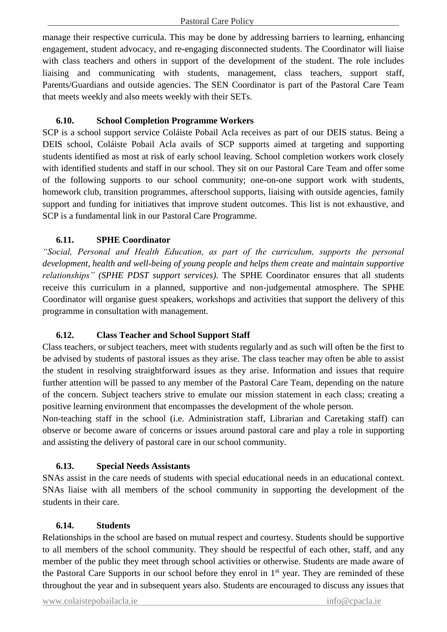manage their respective curricula. This may be done by addressing barriers to learning, enhancing engagement, student advocacy, and re-engaging disconnected students. The Coordinator will liaise with class teachers and others in support of the development of the student. The role includes liaising and communicating with students, management, class teachers, support staff, Parents/Guardians and outside agencies. The SEN Coordinator is part of the Pastoral Care Team that meets weekly and also meets weekly with their SETs.

#### **6.10. School Completion Programme Workers**

SCP is a school support service Coláiste Pobail Acla receives as part of our DEIS status. Being a DEIS school, Coláiste Pobail Acla avails of SCP supports aimed at targeting and supporting students identified as most at risk of early school leaving. School completion workers work closely with identified students and staff in our school. They sit on our Pastoral Care Team and offer some of the following supports to our school community; one-on-one support work with students, homework club, transition programmes, afterschool supports, liaising with outside agencies, family support and funding for initiatives that improve student outcomes. This list is not exhaustive, and SCP is a fundamental link in our Pastoral Care Programme.

#### **6.11. SPHE Coordinator**

*"Social, Personal and Health Education, as part of the curriculum, supports the personal development, health and well-being of young people and helps them create and maintain supportive relationships" (SPHE PDST support services)*. The SPHE Coordinator ensures that all students receive this curriculum in a planned, supportive and non-judgemental atmosphere. The SPHE Coordinator will organise guest speakers, workshops and activities that support the delivery of this programme in consultation with management.

#### **6.12. Class Teacher and School Support Staff**

Class teachers, or subject teachers, meet with students regularly and as such will often be the first to be advised by students of pastoral issues as they arise. The class teacher may often be able to assist the student in resolving straightforward issues as they arise. Information and issues that require further attention will be passed to any member of the Pastoral Care Team, depending on the nature of the concern. Subject teachers strive to emulate our mission statement in each class; creating a positive learning environment that encompasses the development of the whole person.

Non-teaching staff in the school (i.e. Administration staff, Librarian and Caretaking staff) can observe or become aware of concerns or issues around pastoral care and play a role in supporting and assisting the delivery of pastoral care in our school community.

#### **6.13. Special Needs Assistants**

SNAs assist in the care needs of students with special educational needs in an educational context. SNAs liaise with all members of the school community in supporting the development of the students in their care.

#### **6.14. Students**

Relationships in the school are based on mutual respect and courtesy. Students should be supportive to all members of the school community. They should be respectful of each other, staff, and any member of the public they meet through school activities or otherwise. Students are made aware of the Pastoral Care Supports in our school before they enrol in 1<sup>st</sup> year. They are reminded of these throughout the year and in subsequent years also. Students are encouraged to discuss any issues that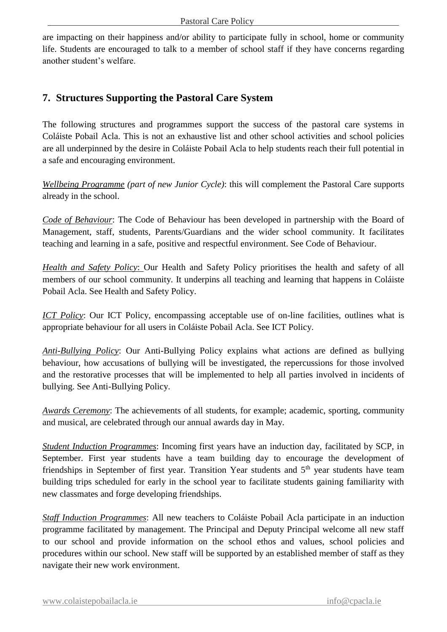are impacting on their happiness and/or ability to participate fully in school, home or community life. Students are encouraged to talk to a member of school staff if they have concerns regarding another student's welfare.

## **7. Structures Supporting the Pastoral Care System**

The following structures and programmes support the success of the pastoral care systems in Coláiste Pobail Acla. This is not an exhaustive list and other school activities and school policies are all underpinned by the desire in Coláiste Pobail Acla to help students reach their full potential in a safe and encouraging environment.

*Wellbeing Programme (part of new Junior Cycle)*: this will complement the Pastoral Care supports already in the school.

*Code of Behaviour*: The Code of Behaviour has been developed in partnership with the Board of Management, staff, students, Parents/Guardians and the wider school community. It facilitates teaching and learning in a safe, positive and respectful environment. See Code of Behaviour.

*Health and Safety Policy*: Our Health and Safety Policy prioritises the health and safety of all members of our school community. It underpins all teaching and learning that happens in Coláiste Pobail Acla. See Health and Safety Policy.

*ICT Policy*: Our ICT Policy, encompassing acceptable use of on-line facilities, outlines what is appropriate behaviour for all users in Coláiste Pobail Acla. See ICT Policy.

*Anti-Bullying Policy*: Our Anti-Bullying Policy explains what actions are defined as bullying behaviour, how accusations of bullying will be investigated, the repercussions for those involved and the restorative processes that will be implemented to help all parties involved in incidents of bullying. See Anti-Bullying Policy.

*Awards Ceremony*: The achievements of all students, for example; academic, sporting, community and musical, are celebrated through our annual awards day in May.

*Student Induction Programmes*: Incoming first years have an induction day, facilitated by SCP, in September. First year students have a team building day to encourage the development of friendships in September of first year. Transition Year students and 5<sup>th</sup> year students have team building trips scheduled for early in the school year to facilitate students gaining familiarity with new classmates and forge developing friendships.

*Staff Induction Programmes*: All new teachers to Coláiste Pobail Acla participate in an induction programme facilitated by management. The Principal and Deputy Principal welcome all new staff to our school and provide information on the school ethos and values, school policies and procedures within our school. New staff will be supported by an established member of staff as they navigate their new work environment.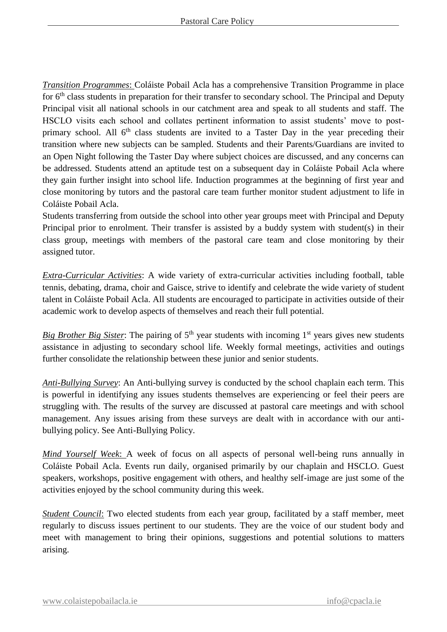*Transition Programmes*: Coláiste Pobail Acla has a comprehensive Transition Programme in place for 6th class students in preparation for their transfer to secondary school. The Principal and Deputy Principal visit all national schools in our catchment area and speak to all students and staff. The HSCLO visits each school and collates pertinent information to assist students' move to postprimary school. All  $6<sup>th</sup>$  class students are invited to a Taster Day in the year preceding their transition where new subjects can be sampled. Students and their Parents/Guardians are invited to an Open Night following the Taster Day where subject choices are discussed, and any concerns can be addressed. Students attend an aptitude test on a subsequent day in Coláiste Pobail Acla where they gain further insight into school life. Induction programmes at the beginning of first year and close monitoring by tutors and the pastoral care team further monitor student adjustment to life in Coláiste Pobail Acla.

Students transferring from outside the school into other year groups meet with Principal and Deputy Principal prior to enrolment. Their transfer is assisted by a buddy system with student(s) in their class group, meetings with members of the pastoral care team and close monitoring by their assigned tutor.

*Extra-Curricular Activities*: A wide variety of extra-curricular activities including football, table tennis, debating, drama, choir and Gaisce, strive to identify and celebrate the wide variety of student talent in Coláiste Pobail Acla. All students are encouraged to participate in activities outside of their academic work to develop aspects of themselves and reach their full potential.

*Big Brother Big Sister*: The pairing of  $5<sup>th</sup>$  year students with incoming  $1<sup>st</sup>$  years gives new students assistance in adjusting to secondary school life. Weekly formal meetings, activities and outings further consolidate the relationship between these junior and senior students.

*Anti-Bullying Survey*: An Anti-bullying survey is conducted by the school chaplain each term. This is powerful in identifying any issues students themselves are experiencing or feel their peers are struggling with. The results of the survey are discussed at pastoral care meetings and with school management. Any issues arising from these surveys are dealt with in accordance with our antibullying policy. See Anti-Bullying Policy.

*Mind Yourself Week*: A week of focus on all aspects of personal well-being runs annually in Coláiste Pobail Acla. Events run daily, organised primarily by our chaplain and HSCLO. Guest speakers, workshops, positive engagement with others, and healthy self-image are just some of the activities enjoyed by the school community during this week.

*Student Council*: Two elected students from each year group, facilitated by a staff member, meet regularly to discuss issues pertinent to our students. They are the voice of our student body and meet with management to bring their opinions, suggestions and potential solutions to matters arising.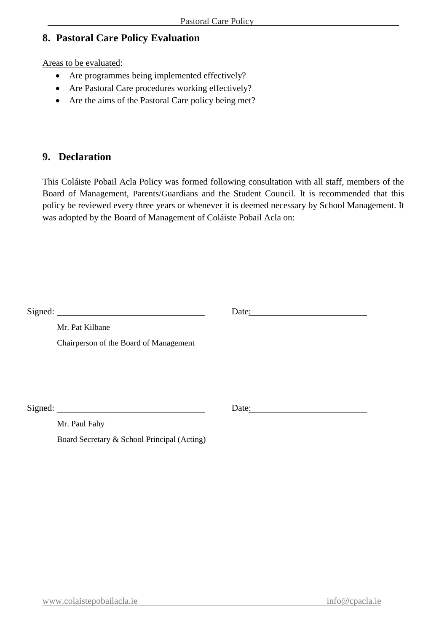## **8. Pastoral Care Policy Evaluation**

Areas to be evaluated:

- Are programmes being implemented effectively?
- Are Pastoral Care procedures working effectively?
- Are the aims of the Pastoral Care policy being met?

#### **9. Declaration**

This Coláiste Pobail Acla Policy was formed following consultation with all staff, members of the Board of Management, Parents/Guardians and the Student Council. It is recommended that this policy be reviewed every three years or whenever it is deemed necessary by School Management. It was adopted by the Board of Management of Coláiste Pobail Acla on:

|                                             | Date:<br><u> 1980 - Jan Stein Stein Stein Stein Stein Stein Stein Stein Stein Stein Stein Stein Stein Stein Stein Stein S</u> |
|---------------------------------------------|-------------------------------------------------------------------------------------------------------------------------------|
| Mr. Pat Kilbane                             |                                                                                                                               |
| Chairperson of the Board of Management      |                                                                                                                               |
|                                             |                                                                                                                               |
|                                             |                                                                                                                               |
|                                             |                                                                                                                               |
|                                             | Date:                                                                                                                         |
| Mr. Paul Fahy                               |                                                                                                                               |
| Board Secretary & School Principal (Acting) |                                                                                                                               |
|                                             |                                                                                                                               |
|                                             |                                                                                                                               |
|                                             |                                                                                                                               |
|                                             |                                                                                                                               |